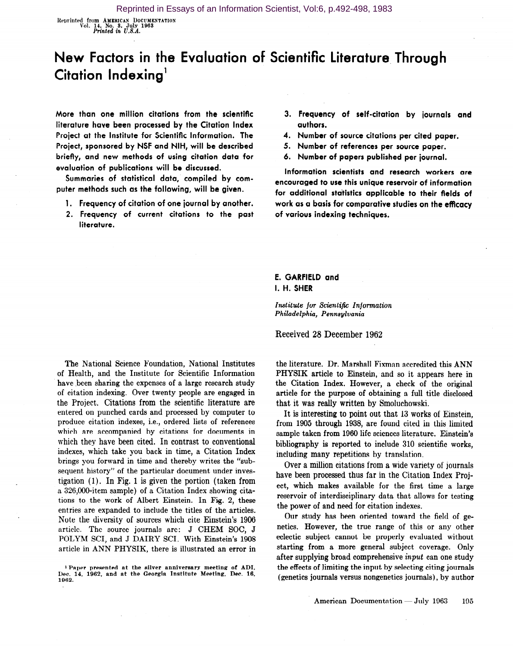Neprinted from AMERICAN DOCUMENTATION Vol. 14, No. 3, July 1963<br>Printed in U.S.A.

## New Factors in the Evaluation of Scientific Literature, Through Citation Indexing'

More than one million citations from the scientific literature have been processed by the Citation Index Project at the Institute for Scientific Information. The Project, sponsored by NSF and NIH, will be described briefly, and new methods of using citation data for evaluation of publications will be discussed.

Summaries of statistical data, compiled by computer methods such as the following, will be given.

- 1. Frequency of citation of one journal by another.
- 2. Frequency of current citations to the past literature.
- 3. Frequency of self-citation by journals and authors.
- 4. Number of source citations per cited paper.
- 5. Number of references per source paper.
- 6. Number of papers published per journal.

Information scientists and research workers are encouraged to use this unique reservoir of information for additional statistics applicable to their fields of work as a basis for comparative studies on the efficacy of various indexing techniques.

## E. GARFIELD and I. H. SHER

Institute for Scientific Information Philadelphia, Pennsylvania

Received 28 December 1962

The National Science Foundation, National Institutes of Health, and the Institute for Scientific Information have been sharing the expenses of a large research study of citation indexing. Over twenty people are engaged in the Project. Citations from the scientific literature are entered on punched cards and processed by computer to produce citation indexes, i.e., ordered lists of references which are accompanied by citations for documents in which they have been cited. In contrast to conventional indexes, which take you back in time, a Citation Index brings you forward in time and thereby writes the "subsequent history" of the particular document under investigation (1). In Fig. 1 is given the portion (taken from a 326,000-item sample) of a Citation Index showing citations to the work of Albert Einstein. In Fig. 2, these entries are expanded to include the titles of the articles. Note the diversity of sources which cite Einstein's 1906 article. The source journals are: J CHEM SOC, J POLYM SCI, and J DAIRY SCI. With Einstein's 1908 article in ANN PHYSIK, there is illustrated an error in

the literature. Dr. Marshall Fixman accredited this ANN PHYSIK article to Einstein, and so it appears here in the Citation Index. However, a check of the original article for the purpose of obtaining a full title disclosed that it was really written by Smoluchowski.

It is interesting to point out that 13 works of Einstein, from 1905 through 1938, are found cited in this limited sample taken from 1960 life sciences literature. Einstein's bibliography is reported to include 310 scientific works, including many repetitions by translation.

Over a million citations from a wide variety of journals have been processed thus far in the Citation Index Project, which makes available for the first time a large reservoir of interdisciplinary data that allows for testing the power of and need for citation indexes.

Our study has been oriented toward the field of genetics. However, the true range of this or any other eclectic subject cannot be properly evaluated without starting from a more general subject coverage. Only after supplying broad comprehensive input can one study the effects of limiting the input by selecting citing journals (genetics journals versus nongenetics journals), by author

<sup>&</sup>lt;sup>1</sup> Paper presented at the silver anniversary meeting of ADI Dec. 14, 1962, and at the Georgia Institute Meeting, Dec. 16, 1962.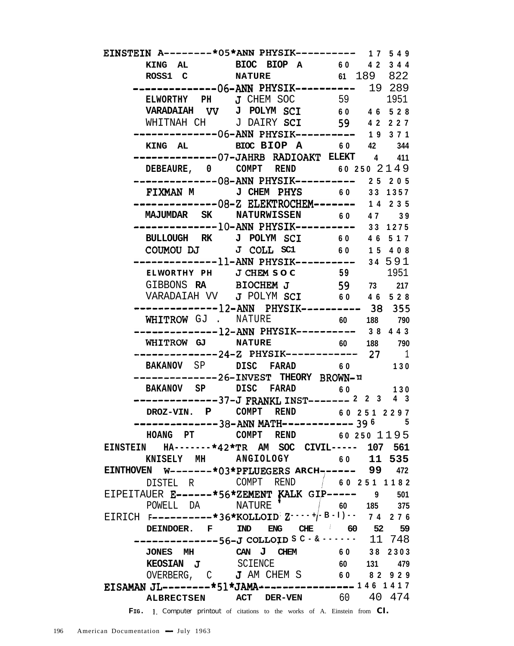| EINSTEIN A--------*05*ANN PHYSIK---------- 17 549                                       |                                                                                  |    |            |
|-----------------------------------------------------------------------------------------|----------------------------------------------------------------------------------|----|------------|
|                                                                                         |                                                                                  |    |            |
| ROSS1 C NATURE                                                                          |                                                                                  |    | 61 189 822 |
|                                                                                         | -------------06-ANN PHYSIK---------- 19 289                                      |    |            |
|                                                                                         | ELWORTHY PH J CHEM SOC 59 1951<br>VARADAIAH VV J POLYM SCI 60 46 528             |    |            |
|                                                                                         |                                                                                  |    |            |
|                                                                                         | WHITNAH CH J DAIRY SCI 59 42227                                                  |    |            |
|                                                                                         | --------------06-ANN PHYSIK---------- 19 371                                     |    |            |
|                                                                                         | KING AL BIOC BIOP A 60 42 344                                                    |    |            |
|                                                                                         | ---------------07-JAHRB RADIOAKT ELEKT 4 411                                     |    |            |
|                                                                                         | DEBEAURE, $0$ COMPT REND $602502149$                                             |    |            |
|                                                                                         | ---------------08-ANN PHYSIK---------- 25 205                                    |    |            |
|                                                                                         | FIXMAN M J CHEM PHYS 60 33 1357                                                  |    |            |
|                                                                                         |                                                                                  |    |            |
|                                                                                         |                                                                                  |    |            |
|                                                                                         |                                                                                  |    |            |
|                                                                                         | BULLOUGH RK J POLYM SCI 60 46 517                                                |    |            |
|                                                                                         | COUMOU DJ J COLL SC1 60 15 408<br>--------------11-ANN PHYSIK---------- 34 591   |    |            |
|                                                                                         |                                                                                  |    |            |
|                                                                                         | ELWORTHY PH J CHEM S O C 59 1951<br>GIBBONS RA BIOCHEM J 59 73 217               |    |            |
|                                                                                         | VARADAIAH VV $J$ POLYM SCI 60 46 528                                             |    |            |
|                                                                                         |                                                                                  |    |            |
|                                                                                         |                                                                                  |    |            |
|                                                                                         | WHITROW GJ . NATURE 60 188 790<br>--------------12-ANN PHYSIK---------- 38 4 4 3 |    |            |
|                                                                                         |                                                                                  |    |            |
|                                                                                         | WHITROW GJ NATURE 60 188 790<br>--------------24-Z PHYSIK----------- 27 1        |    |            |
|                                                                                         | BAKANOV SP DISC FARAD 60 130                                                     |    |            |
|                                                                                         | --------------26-INVEST THEORY BROWN-H                                           |    |            |
|                                                                                         | BAKANOV SP DISC FARAD 60 130                                                     |    |            |
|                                                                                         | $------------37-J FRANKL INST------2 2 3 4 3$                                    |    |            |
|                                                                                         | DROZ-VIN. P COMPT REND 60 251 2297                                               |    |            |
|                                                                                         | -------------38-ANN MATH------------ 39 6 5                                      |    |            |
|                                                                                         | HOANG PT COMPT REND 60 250 1195                                                  |    |            |
| EINSTEIN HA-------*42*TR AM SOC CIVIL----- 107 561                                      |                                                                                  |    |            |
| KNISELY MH ANGIOLOGY                                                                    |                                                                                  |    | 60 11 535  |
| EINTHOVEN W-------*03*PFLUEGERS ARCH------ 99                                           |                                                                                  |    | 472        |
| DISTEL R                                                                                |                                                                                  |    |            |
| EIPEITAUER E------*56*ZEMENT KALK GIP----- 9                                            |                                                                                  |    | 501        |
| POWELL DA                                                                               | NATURE '                                                                         |    | 60 185 375 |
| EIRICH $F$ = - - - - - - - * 36 * KOLLOID: $Z$ - - +(-B - 1) - - 7 4 2 7 6              |                                                                                  |    |            |
| DEINDOER. F IND                                                                         | ENG CHE 60 52                                                                    |    | 59         |
|                                                                                         | $---------56-J$ COLLOID S C $\cdot$ & $\cdot$ $\cdot$ 11 748                     |    |            |
|                                                                                         | JONES MH CAN J CHEM 60 38 2303                                                   |    |            |
| <b>KEOSIAN J</b> SCIENCE                                                                |                                                                                  | 60 | 131 479    |
| OVERBERG, C J AM CHEM S 60 82 929<br>EISAMAN JL--------*51*JAMA----------------146 1417 |                                                                                  |    |            |
|                                                                                         |                                                                                  |    |            |
| <b>ALBRECTSEN</b>                                                                       | <b>ACT DER-VEN</b> 60 40 474                                                     |    |            |
|                                                                                         | FIG. 1. Computer printout of citations to the works of A. Einstein from CI.      |    |            |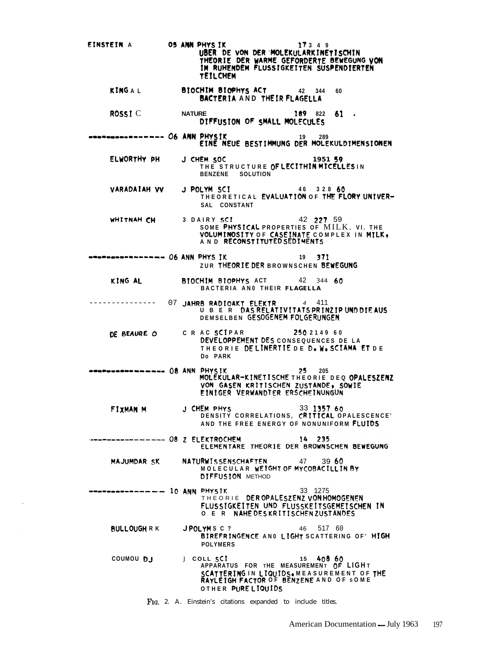EINSTEIN A 05 ANN PHYS IK  $17349$ UBER DE VON DER MOLEKULARKINÉTISCHIN<br>THEORIE DER WARME GEFORDERTE BEWEGUNG VON<br>IM RUHENDEM FLUSSIGKEITEN SUSPENDIERTEN **TEIL CHEM** BIOCHIM BIOPHYS ACT KINGAL 42 344 60 BACTERIA AND THEIR FLAGELLA ROSSI<sub>C</sub> 189 822 61 . **NATURE** DIFFUSION OF SMALL MOLECULES --------------- O6 ANN PHYSIK<br>EINE NEUE BESTIMMUNG DER MOLEKULDIMENSIONEN ELWORTHY PH J CHEM SOC 1951 59 THE STRUCTURE OF LECITHIN MICELLES IN BENZENE SOLUTION LYM SCI 46 328 60<br>THEORETICAL EVALUATION OF THE FLORY UNIVER-VARADAIAH VV J POLYM SCI SAL CONSTANT WHITNAH CH 3 DAIRY SCI 42 227 59 THE SOLUTION THE SOLUTION CONTRACT SOME PHYSICAL PROPERTIES OF MILK. VI. THE VOLUMINOSITY OF CASEINATE COMPLEX IN MILK, --------------- O6 ANN PHYS IK  $19$   $771$ ZUR THEORIE DER BROWNSCHEN BEWEGUNG KING AL BIOCHIM BIOPHYS ACT  $42 \t344 \t60$ BACTERIA ANO THEIR FLAGELLA 07 JAHRB RADIOAKT ELEKTR 4 411<br>UBER DAS RELATIVITATS PRINZIP UND DIE AUS \_\_\_\_\_\_\_\_\_\_\_\_\_\_\_ DEMSELBEN GESOGENEM FOLGERUNGEN C R AC SCIPAR 250214960 DE BEAURE O DEVELOPPEMENT DES CONSEQUENCES DE LA THEORIE DELINERTIE DE D. W. SCIAMA ET DE Do PARK \*\*\*\*\*\*\*\*\*\*\*\*\*\*\*\* OB ANN PHYSIK  $25$ 205 MOLEKULAR-KINETISCHE THEORIE DEQ OPALESZENZ VON GASEN KRITISCHEN ZUSTANDE, SOWIE EINIGER VERWANDTER ERSCHEINUNGUN J CHEM PHYS FIXMAN M 33 1357 60 DENSITY CORRELATIONS, CRITICAL OPALESCENCE' AND THE FREE ENERGY OF NONUNIFORM FLUIDS -------- 08 Z ELEKTROCHEM 14 235 ELEMENTARE THEORIE DER BROWNSCHEN BEWEGUNG MAJUMDAR SK NATURWISSENSCHAFTEN 47 39 60 MOLECULAR WEIGHT OF MYCOBACILLIN BY **DIFFUSION** METHOD ------------ 10 ANN PHYSIK 33 1275 THEORIE DEROPALESZENZ VON HOMOGENEN<br>FLUSSIGKEITEN UND FLUSSKEITSGEMEISCHEN IN O E R NAHE DESKRITISCHEN ZUSTANDES **BULLOUGHRK** JPOLYMSC? 46 517 60 BIREFRINGENCE AND LIGHT SCATTERING OF' HIGH **POLYMERS** J COLL SCI 15 408 60 COUMOU DJ APPARATUS FOR THE MEASUREMENT OF LIGHT SCATTERING IN LIQUIDS. MEASUREMENT OF THE<br>RAYLEIGH FACTOR OF BENZENE AND OF SOME OTHER PURELIQUIDS

FIG. 2. A. Einstein's citations expanded to include titles.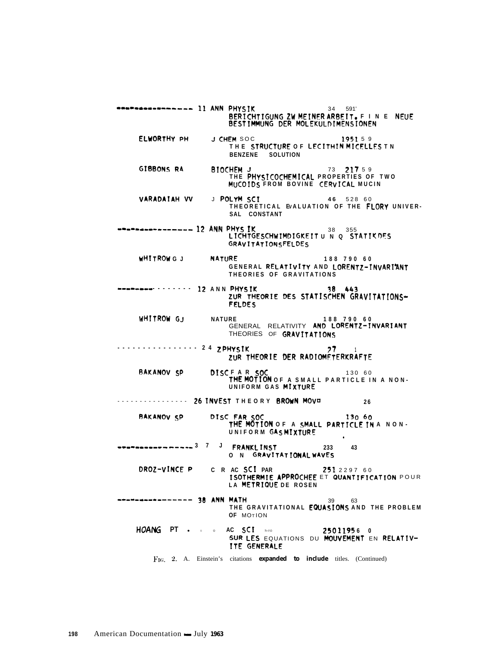\*\*\*\*\*\*\*\*\*\*\*\*\*\*\*\* 11 ANN PHYSIK 34 591' BERICHTIGUNG ZW MEINER ARBEIT. F IN E NEUE BESTIMMUNG DER MOLEKULDIMENSIONEN ELWORTHY PH J CHEM SOC 195159 THE STRUCTURE OF LECITHIN MICELLES TN BENZENE SOLUTION GIBBONS RA BIOCHEM J<br>THE PHYSICOCHEMICAL PROPERTIES OF TWO MUCOIDS FROM BOVINE CERVICAL MUCIN J POLYM SCI VARADAIAH VV 46 528 60 THEORETICAL EVALUATION OF THE FLORY UNIVER-SAL CONSTANT --------------- 12 ANN PHYS IK<br>LICHTGESCHWIMDIGKEIT U N Q STATIKDES **GRAVITATIONSFELDES** WHITROWG J **NATURE** 188 790 60 GENERAL RELATIVITY AND LORENTZ-INVARIANT THEORIES OF GRAVITATIONS --------------- 12 ANN PHYSIK 38 443 ZUR THEORIE DES STATISCHEN GRAVITATIONS-**FELDES** IRE 188 790 60<br>GENERAL RELATIVITY AND LORENTZ-INVARIANT WHITROW G.J. **NATURE** THEORIES OF GRAVITATIONS ............ 24 ZPHYSIK 27 ZUR THEORIE DER RADIOMÉTERKRAFTE DISCFAR SOC 130 60<br>THE MOTION OF A SMALL PARTICLE IN A NON-**BAKANOV SP** UNIFORM GAS MIXTURE 26 INVEST THEORY BROWN MOVE . . . . . . . . . . . . . . . . 26 DISC FAR SOC 130 60<br>THE MOTION OF A SMALL PARTICLE IN A NON-BAKANOV SP UNIFORM GASMIXTURE 233 43 O N GRAVITATIONAL WAVES DROZ-VINCE P C R AC SCI PAR 251229760 ISOTHERMIE APPROCHEE ET QUANTIFICATION POUR LA METRIQUE DE ROSEN ------------- 38 ANN MATH 39 63 THE GRAVITATIONAL EQUASIONS AND THE PROBLEM OF MOTION AC SCI PRO 25011956 0<br>Sur Les Equations du Mouvement en Relativ-HOANG PT . . . ITE GENERALE FIG. 2. A. Einstein's citations expanded to include titles. (Continued)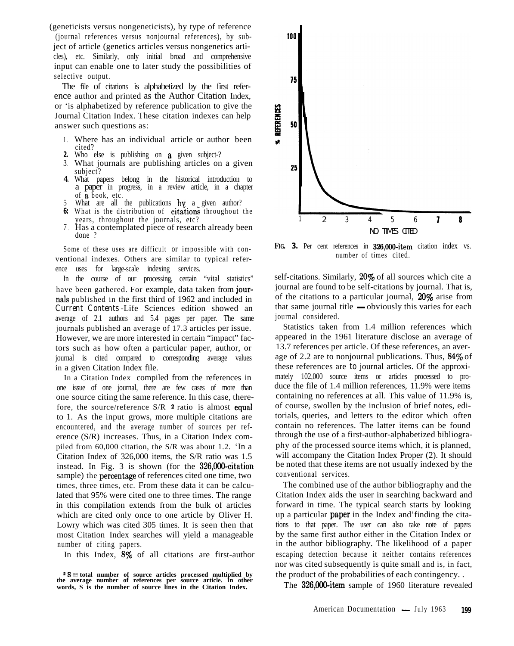(geneticists versus nongeneticists), by type of reference

(journal references versus nonjournal references), by subject of article (genetics articles versus nongenetics articles), etc. Similarly, only initial broad and comprehensive input can enable one to later study the possibilities of selective output.

The file of citations is alphabetized by the first reference author and printed as the Author Citation Index, or 'is alphabetized by reference publication to give the Journal Citation Index. These citation indexes can help answer such questions as: b

- 1. Where has an individual article or author been cited?
- **2.** Who else is publishing on a given subject-?
- 3. What journals are publishing articles on a given subject?
- 4. What papers belong in the historical introduction to a paper in progress, in a review article, in a chapter of a book, etc.
- 5 What are all the publications  $\mathbf{b}\mathbf{v}$  a given author?
- **6:** What is the distribution of citations throughout the years, throughout the journals, etc?
- 7 . Has a contemplated piece of research already been done ?

Some of these uses are difficult or impossible with conventional indexes. Others are similar to typical reference uses for large-scale indexing services.

In the course of our processing, certain "vital statistics" have been gathered. For example, data taken from journals published in the first third of 1962 and included in *Current Contents* -Life Sciences edition showed an average of 2.1 authors and 5.4 pages per paper. The same journals published an average of 17.3 articles per issue. However, we are more interested in certain "impact" factors such as how often a particular paper, author, or journal is cited compared to corresponding average values in a given Citation Index file.

In a Citation Index compiled from the references in one issue of one journal, there are few cases of more than one source citing the same reference. In this case, therefore, the source/reference  $S/R$  <sup>2</sup> ratio is almost equal to 1. As the input grows, more multiple citations are encountered, and the average number of sources per reference (S/R) increases. Thus, in a Citation Index compiled from 60,000 citation, the S/R was about 1.2. 'In a Citation Index of 326,000 items, the S/R ratio was 1.5 instead. In Fig. 3 is shown (for the 326,000~citation sample) the **percentage** of references cited one time, two times, three times, etc. From these data it can be calculated that 95% were cited one to three times. The range in this compilation extends from the bulk of articles which are cited only once to one article by Oliver H. Lowry which was cited 305 times. It is seen then that most Citation Index searches will yield a manageable number of citing papers.

In this Index, 8% of all citations are first-author



FIG. **3.** Per cent references in 326,000-item citation index vs. number of times cited.

self-citations. Similarly, 20% of all sources which cite a journal are found to be self-citations by journal. That is, from that same journal title  $\rightarrow$  obviously this varies for each that same journal title  $\rightarrow$  obviously this varies for each journal considered.

Statistics taken from 1.4 million references which appeared in the 1961 literature disclose an average of 13.7 references per article. Of these references, an average of 2.2 are to nonjournal publications. Thus,  $84\%$  of these references are *to* journal articles. Of the approximately 102,000 source items or articles processed to produce the file of 1.4 million references, 11.9% were items containing no references at all. This value of 11.9% is, of course, swollen by the inclusion of brief notes, editorials, queries, and letters to the editor which often contain no references. The latter items can be found through the use of a first-author-alphabetized bibliography of the processed source items which, it is planned, will accompany the Citation Index Proper (2). It should be noted that these items are not usually indexed by the conventional services.

The combined use of the author bibliography and the Citation Index aids the user in searching backward and forward in time. The typical search starts by looking up a particular **paper** in the Index and'finding the citations to that paper. The user can also take note of papers by the same first author either in the Citation Index or in the author bibliography. The likelihood of a paper escaping detection because it neither contains references nor was cited subsequently is quite small and is, in fact, the product of the probabilities of each contingency. .

The 326,000-item sample of 1960 literature revealed

<sup>2</sup>S= **total number of source articles processed multiplied by the average number of references per source article. In other words, S is the number of source lines in the Citation Index.**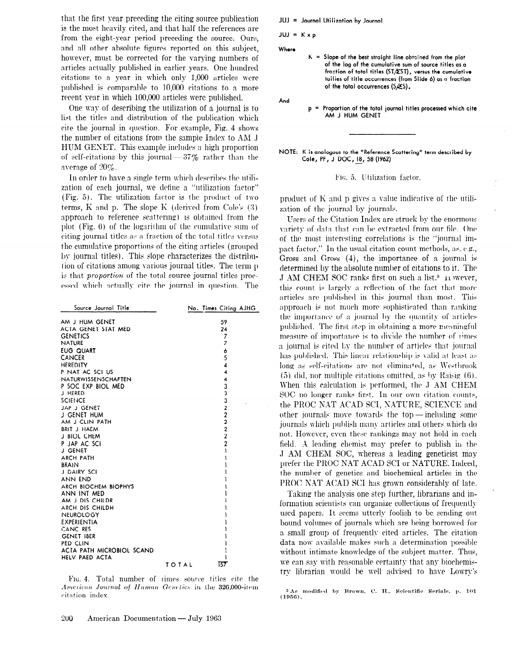that the first year preceding the citing source publication is the most heavily cited, and that half the references are from the eight-year period preceding the source. Ours, and all other absolute figures reported on this subject, however, must be corrected for the varying numbers of articles actually published in earlier years. One hundred citations to a year in which only 1,000 articles were published is comparable to 10,000 citations to a more recent year in which 100,000 articles were published.

One wav of describing the utilization of a journal is to list the titles and distribution of the publication which cite the journal in question- For example, Fig. 4 shows the number of citations from the sample Index to AM J HUM GEKET. This example includes a high proportion of self-citations by this journal  $-37\%$  rather than the average of  $20\%$ .

In order to have a single term which describes the utilization of each journal, we define a "utilization factor" (Fig. 5). The utilization factor is the product of two terms,  $K$  and p. The slope  $K$  (derived from Cole's  $(3)$ approach to reference scattering) is obtained from the plot (Fig.  $6$ ) of the logarithm of the cumulative sum of citing journal titles as a fraction of the total titles versus the cumulative proportions of the citing articles (grouped by journal titles). This slope characterizes the distribution of citations among various journal titles. The term p is that *proportion* of the total source journal titles processed which actually cite the journal in question. The

| Source Journal Title       | No. Times Citing AJHG   |  |
|----------------------------|-------------------------|--|
| AM J HUM GENET             | 59                      |  |
| ACTA GENET STAT MED        | 24                      |  |
| <b>GENETICS</b>            | 7                       |  |
| <b>NATURE</b>              | $\overline{7}$          |  |
| <b>EUG QUART</b>           | 6                       |  |
| <b>CANCER</b>              | 5                       |  |
| <b>HEREDITY</b>            | 4                       |  |
| P NAT AC SCI US            | $\overline{\mathbf{4}}$ |  |
| <b>NATURWISSENSCHAFTEN</b> | $\overline{\mathbf{4}}$ |  |
| P SOC EXP BIOL MED         | 3                       |  |
| J HERED                    | 3                       |  |
| <b>SCIENCE</b>             | 3                       |  |
| JAP J GENET                |                         |  |
| J GENET HUM                |                         |  |
| AM J CLIN PATH             |                         |  |
| <b>BRIT J HAEM</b>         | 2222                    |  |
| J BIOL CHEM                |                         |  |
| P JAP AC SCI               | $\overline{c}$          |  |
| <b>J GENET</b>             | ı                       |  |
| ARCH PATH                  | ۱                       |  |
| <b>BRAIN</b>               |                         |  |
| J DAIRY SCI                |                         |  |
| ANN END                    |                         |  |
| ARCH BIOCHEM BIOPHYS       |                         |  |
| ANN INT MED                |                         |  |
| AM J DIS CHILDR            |                         |  |
| ARCH DIS CHILDH            |                         |  |
| NEUROLOGY                  |                         |  |
| EXPERIENTIA                |                         |  |
| CANC RES                   |                         |  |
| <b>GENET IBER</b>          |                         |  |
| PED CLIN                   |                         |  |
| ACTA PATH MICROBIOL SCAND  |                         |  |
| HELV PAED ACTA             | T57                     |  |
|                            | TOTAL                   |  |

FIG. 4. Total number of rimes source titles cite the American Journal of Human Genetics in the 326,000-item citation index.

JUJ = Journal Utilization by Jourr

 $JUI = K \times p$ 

Where

 $K =$  Slope of the best straight line obtained from the plot of the log of the cumulative sum of source titles as a fraction of total titles (ST/EST), versus the cumulative tailies of title occurrences (from Slide 6) as a fraction of the total occurrences  $(S \not\leq S)$ .

And

 $p =$  Proportion of the total journal titles processed which cit AM J HUM GENET

NOTE: K is analogous to the "Reference Scattering" term described by Cole, PF, J DOC, 18, 58 (1962)

FIG. 5. Utilization factor.

product of  $K$  and  $p$  gives a value indicative of the utilization of the journal by journals.

Users of the Citation Index are struck by the enormous variety of data that can be extracted from our file. One of the most interesting correlations is the "journal impact factor." In the usual citation count methods, as, c-g., Gross and Gross (4), the importance of a journal is determined by the absolute number of citations to it. The J AM CHEM SOC ranks first on such a list.<sup>3</sup> Trowever, this count is largely a reflection of the fact that more articles are published in this journal than most. This approach is not much more sophisticated than ranking the importance of a journal by the quantity of articles published. The first step in obtaining a more meaningful measure of importance is to divide the number of rimes a journal is cited by the number of articles that journal has published. This linear relationship is valid at least as long as self-citations are not eliminated, as Westbrook  $(5)$  did, nor multiple citations omitted, as by Raisig  $(6)$ . When this calculation is performed, the J AM CHEM SOC no longer ranks first. In our own citation counts, the PROC NAT ACAD SCI, NATURE, SCIENCE and other journals move towards the top - including some journals which publish many articles and others which do not. However, even these rankings may not hold in each field. A leading chemist may prefer to publish in the J AM CHEM SOC, whereas a leading geneticist may prefer the PROC N4T ACAD SC1 or XATURE. Indeed, the number of genetics md biochemical articles in the PROC NAT ACAD SCI has grown considerably of late.

Taking the analysis one step further, librarians and information scientists can organize collections of frequentlv used papers. It seems utterlv foolish to be sending out bound volumes of journals which are being borrowed for a small group of frequently cited articles. The citation data now available makes such a determination possible without intimate knowledge of the subject matter. Thus, we can say with reasonable certainty that any biochemistry librarian would be well advised to have Lowry's

(195G).